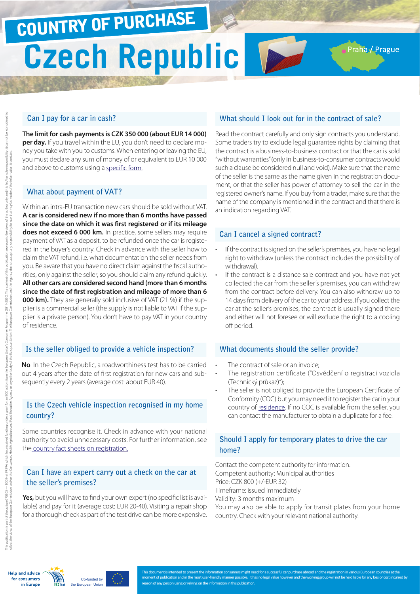# **Czech Republic** COUNTRY OF PURCHASE

## **Can I pay for a car in cash?**

**The limit for cash payments is CZK 350 000 (about EUR 14 000) per day.** If you travel within the EU, you don't need to declare money you take with you to customs. When entering or leaving the EU, you must declare any sum of money of or equivalent to EUR 10 000 and above to customs using a [specific form](http://ec.europa.eu/taxation_customs/resources/documents/customs/customs_controls/cash_controls/declaration_forms/declaration_form_cz_en.pdf).

#### **What about payment of VAT?**

Within an intra-EU transaction new cars should be sold without VAT. **A car is considered new if no more than 6 months have passed since the date on which it was first registered or if its mileage does not exceed 6 000 km.** In practice, some sellers may require payment of VAT as a deposit, to be refunded once the car is registered in the buyer's country. Check in advance with the seller how to claim the VAT refund, i.e. what documentation the seller needs from you. Be aware that you have no direct claim against the fiscal authorities, only against the seller, so you should claim any refund quickly. **All other cars are considered second hand (more than 6 months since the date of first registration and mileage of more than 6 000 km).** They are generally sold inclusive of VAT (21 %) if the supplier is a commercial seller (the supply is not liable to VAT if the supplier is a private person). You don't have to pay VAT in your country of residence.

#### **Is the seller obliged to provide a vehicle inspection?**

**No**. In the Czech Republic, a roadworthiness test has to be carried out 4 years after the date of first registration for new cars and subsequently every 2 years (average cost: about EUR 40).

## **Is the Czech vehicle inspection recognised in my home country?**

Some countries recognise it. Check in advance with your national authority to avoid unnecessary costs. For further information, see the [country fact sheets on registration.](http://www.europe-consommateurs.eu/en/consumer-topics/on-the-road/buying-a-car/cross-border-car-purchase-and-registration/)

## **Can I have an expert carry out a check on the car at the seller's premises?**

**Yes,** but you will have to find your own expert (no specific list is available) and pay for it (average cost: EUR 20-40). Visiting a repair shop for a thorough check as part of the test drive can be more expensive.

# **What should I look out for in the contract of sale?**

Praha / Prague

Read the contract carefully and only sign contracts you understand. Some traders try to exclude legal guarantee rights by claiming that the contract is a business-to-business contract or that the car is sold "without warranties" (only in business-to-consumer contracts would such a clause be considered null and void). Make sure that the name of the seller is the same as the name given in the registration document, or that the seller has power of attorney to sell the car in the registered owner's name. If you buy from a trader, make sure that the name of the company is mentioned in the contract and that there is an indication regarding VAT.

### **Can I cancel a signed contract?**

- If the contract is signed on the seller's premises, you have no legal right to withdraw (unless the contract includes the possibility of withdrawal).
- If the contract is a distance sale contract and you have not yet collected the car from the seller's premises, you can withdraw from the contract before delivery. You can also withdraw up to 14 days from delivery of the car to your address. If you collect the car at the seller's premises, the contract is usually signed there and either will not foresee or will exclude the right to a cooling off period.

#### **What documents should the seller provide?**

- The contract of sale or an invoice:
- The registration certificate ("Osvědčení o registraci vozidla (Technický průkaz)");
- The seller is not obliged to provide the European Certificate of Conformity (COC) but you may need it to register the car in your country of [residence.](http://www.europe-consommateurs.eu/en/consumer-topics/on-the-road/buying-a-car/cross-border-car-purchase-and-registration/) If no COC is available from the seller, you can contact the manufacturer to obtain a duplicate for a fee.

## **Should I apply for temporary plates to drive the car home?**

Contact the competent authority for information. Competent authority: Municipal authorities Price: CZK 800 (+/-EUR 32) Timeframe: issued immediately Validity: 3 months maximum You may also be able to apply for transit plates from your home country. Check with your relevant national authority.